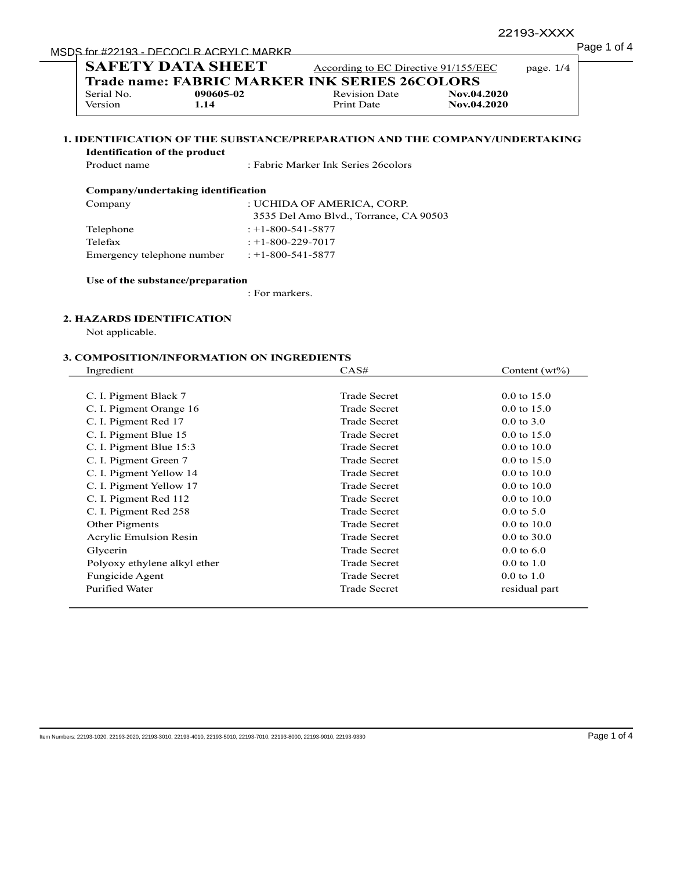# MSDS for #22193 - DECOCLR ACRYLC MARKR PROPERTY And MSDS for #22193 - DECOCLR ACRYLC MARKR

|                                      | <b>Trade name: FABRIC MARKER INK SERIES 26COLORS</b>                       |                                     |             |  |
|--------------------------------------|----------------------------------------------------------------------------|-------------------------------------|-------------|--|
| Serial No.                           | 090605-02                                                                  | <b>Revision Date</b>                | Nov.04.2020 |  |
| Version                              | 1.14                                                                       | Print Date                          | Nov.04.2020 |  |
| <b>Identification of the product</b> | 1. IDENTIFICATION OF THE SUBSTANCE/PREPARATION AND THE COMPANY/UNDERTAKING |                                     |             |  |
|                                      |                                                                            |                                     |             |  |
| Product name                         |                                                                            | : Fabric Marker Ink Series 26colors |             |  |
|                                      | Company/undertaking identification                                         |                                     |             |  |
| Company                              |                                                                            | : UCHIDA OF AMERICA, CORP.          |             |  |

| Telephone                  | $: +1 - 800 - 541 - 5877$ |  |
|----------------------------|---------------------------|--|
| Telefax                    | $: +1 - 800 - 229 - 7017$ |  |
| Emergency telephone number | : $+1 - 800 - 541 - 5877$ |  |

#### **Use of the substance/preparation**

: For markers.

# **2. HAZARDS IDENTIFICATION**

Not applicable.

| Ingredient                   | CAS#                | Content $(wt\%)$       |
|------------------------------|---------------------|------------------------|
| C. I. Pigment Black 7        | <b>Trade Secret</b> | $0.0 \text{ to } 15.0$ |
| C. I. Pigment Orange 16      | <b>Trade Secret</b> | $0.0 \text{ to } 15.0$ |
| C. I. Pigment Red 17         | <b>Trade Secret</b> | $0.0 \text{ to } 3.0$  |
| C. I. Pigment Blue 15        | <b>Trade Secret</b> | $0.0 \text{ to } 15.0$ |
| C. I. Pigment Blue 15:3      | <b>Trade Secret</b> | $0.0 \text{ to } 10.0$ |
| C. I. Pigment Green 7        | <b>Trade Secret</b> | $0.0 \text{ to } 15.0$ |
| C. I. Pigment Yellow 14      | <b>Trade Secret</b> | $0.0 \text{ to } 10.0$ |
| C. I. Pigment Yellow 17      | <b>Trade Secret</b> | $0.0 \text{ to } 10.0$ |
| C. I. Pigment Red 112        | <b>Trade Secret</b> | $0.0 \text{ to } 10.0$ |
| C. I. Pigment Red 258        | <b>Trade Secret</b> | $0.0 \text{ to } 5.0$  |
| Other Pigments               | <b>Trade Secret</b> | $0.0 \text{ to } 10.0$ |
| Acrylic Emulsion Resin       | <b>Trade Secret</b> | $0.0 \text{ to } 30.0$ |
| Glycerin                     | <b>Trade Secret</b> | $0.0 \text{ to } 6.0$  |
| Polyoxy ethylene alkyl ether | <b>Trade Secret</b> | $0.0 \text{ to } 1.0$  |
| Fungicide Agent              | <b>Trade Secret</b> | $0.0 \text{ to } 1.0$  |
| Purified Water               | <b>Trade Secret</b> | residual part          |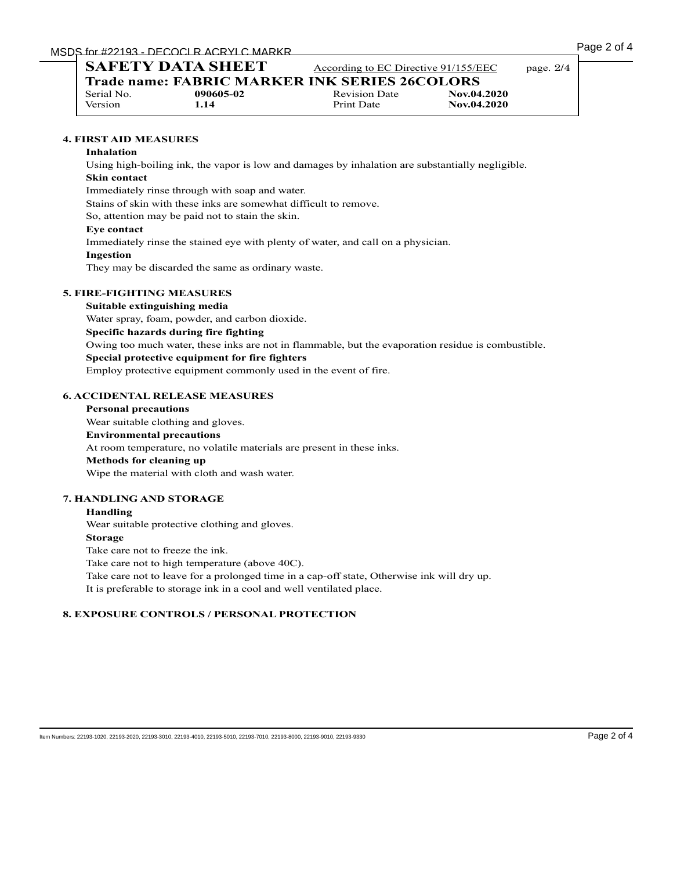| Page 2 of 4 |  |  |
|-------------|--|--|
|             |  |  |

| <b>SAFETY DATA SHEET</b> |           |                                                      | According to EC Directive 91/155/EEC |  |
|--------------------------|-----------|------------------------------------------------------|--------------------------------------|--|
|                          |           | <b>Trade name: FABRIC MARKER INK SERIES 26COLORS</b> |                                      |  |
| Serial No.               | 090605-02 | <b>Revision Date</b>                                 | Nov.04.2020                          |  |
| <b>Version</b>           | 1.14      | Print Date                                           | Nov.04.2020                          |  |

# **4. FIRST AID MEASURES**

#### **Inhalation**

Using high-boiling ink, the vapor is low and damages by inhalation are substantially negligible. **Skin contact** Immediately rinse through with soap and water.

Stains of skin with these inks are somewhat difficult to remove.

So, attention may be paid not to stain the skin.

#### **Eye contact**

Immediately rinse the stained eye with plenty of water, and call on a physician.

#### **Ingestion**

They may be discarded the same as ordinary waste.

### **5. FIRE-FIGHTING MEASURES**

#### **Suitable extinguishing media**

Water spray, foam, powder, and carbon dioxide.

#### **Specific hazards during fire fighting**

Owing too much water, these inks are not in flammable, but the evaporation residue is combustible.

#### **Special protective equipment for fire fighters**

Employ protective equipment commonly used in the event of fire.

#### **6. ACCIDENTAL RELEASE MEASURES**

# **Personal precautions** Wear suitable clothing and gloves. **Environmental precautions** At room temperature, no volatile materials are present in these inks. **Methods for cleaning up** Wipe the material with cloth and wash water.

#### **7. HANDLING AND STORAGE**

#### **Handling**

Wear suitable protective clothing and gloves.

#### **Storage**

Take care not to freeze the ink.

Take care not to high temperature (above 40C).

Take care not to leave for a prolonged time in a cap-off state, Otherwise ink will dry up.

It is preferable to storage ink in a cool and well ventilated place.

# **8. EXPOSURE CONTROLS / PERSONAL PROTECTION**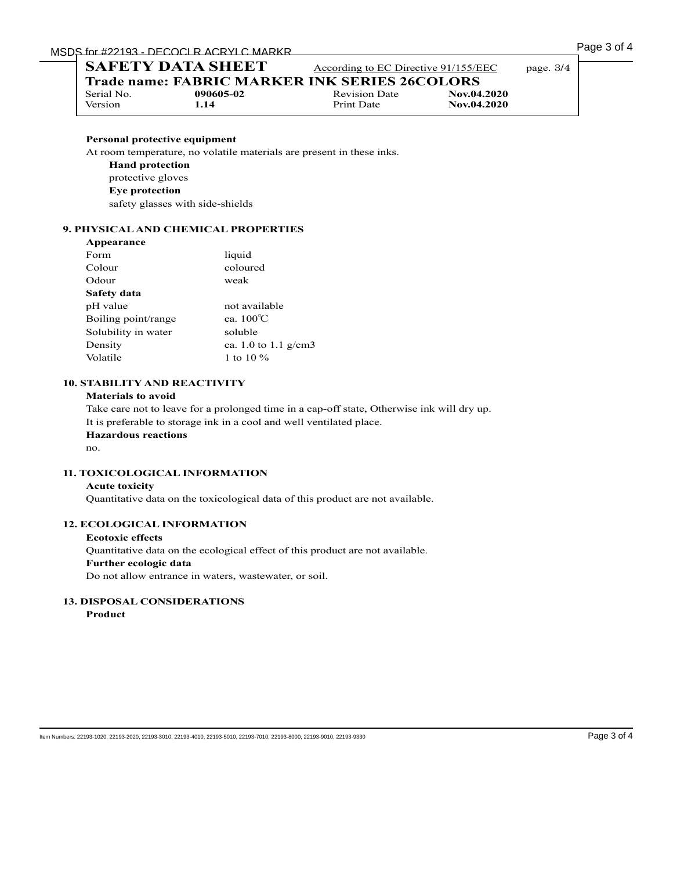| <b>SAFETY DATA SHEET</b> |                                                      | According to EC Directive 91/155/EEC |             | page. $3/4$ |
|--------------------------|------------------------------------------------------|--------------------------------------|-------------|-------------|
|                          | <b>Trade name: FABRIC MARKER INK SERIES 26COLORS</b> |                                      |             |             |
| Serial No.               | 090605-02                                            | <b>Revision Date</b>                 | Nov.04.2020 |             |
| Version                  | 1.14                                                 | Print Date                           | Nov.04.2020 |             |

# **Personal protective equipment**

At room temperature, no volatile materials are present in these inks.

- **Hand protection**
- protective gloves
- **Eye protection**

safety glasses with side-shields

# **9. PHYSICAL AND CHEMICAL PROPERTIES**

| Appearance          |                        |
|---------------------|------------------------|
| Form                | liquid                 |
| Colour              | coloured               |
| Odour               | weak                   |
| Safety data         |                        |
| pH value            | not available          |
| Boiling point/range | ca. $100^{\circ}$ C    |
| Solubility in water | soluble                |
| Density             | ca. 1.0 to 1.1 $g/cm3$ |
| Volatile            | 1 to 10 $\%$           |
|                     |                        |

# **10. STABILITY AND REACTIVITY**

## **Materials to avoid**

Take care not to leave for a prolonged time in a cap-off state, Otherwise ink will dry up. It is preferable to storage ink in a cool and well ventilated place. **Hazardous reactions** no.

# **11. TOXICOLOGICAL INFORMATION**

#### **Acute toxicity**

Quantitative data on the toxicological data of this product are not available.

# **12. ECOLOGICAL INFORMATION**

**Ecotoxic effects** Quantitative data on the ecological effect of this product are not available. **Further ecologic data** Do not allow entrance in waters, wastewater, or soil.

# **13. DISPOSAL CONSIDERATIONS**

**Product**